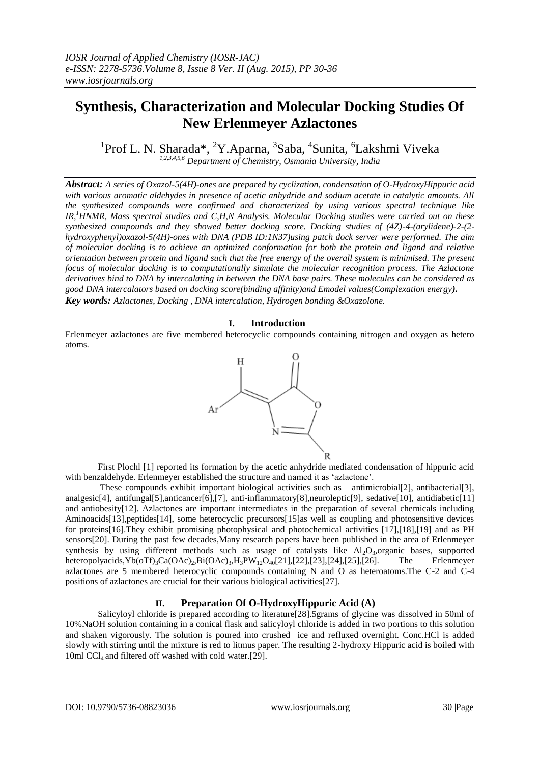# **Synthesis, Characterization and Molecular Docking Studies Of New Erlenmeyer Azlactones**

<sup>1</sup>Prof L. N. Sharada\*, <sup>2</sup>Y.Aparna, <sup>3</sup>Saba, <sup>4</sup>Sunita, <sup>6</sup>Lakshmi Viveka *1,2,3,4,5,6 Department of Chemistry, Osmania University, India*

*Abstract: A series of Oxazol-5(4H)-ones are prepared by cyclization, condensation of O-HydroxyHippuric acid with various aromatic aldehydes in presence of acetic anhydride and sodium acetate in catalytic amounts. All the synthesized compounds were confirmed and characterized by using various spectral technique like IR,<sup>1</sup>HNMR, Mass spectral studies and C,H,N Analysis. Molecular Docking studies were carried out on these synthesized compounds and they showed better docking score. Docking studies of (4Z)-4-(arylidene)-2-(2 hydroxyphenyl)oxazol-5(4H)-ones with DNA (PDB ID:1N37)using patch dock server were performed. The aim of molecular docking is to achieve an optimized conformation for both the protein and ligand and relative orientation between protein and ligand such that the free energy of the overall system is minimised. The present focus of molecular docking is to computationally simulate the molecular recognition process. The Azlactone derivatives bind to DNA by intercalating in between the DNA base pairs. These molecules can be considered as good DNA intercalators based on docking score(binding affinity)and Emodel values(Complexation energy). Key words: Azlactones, Docking , DNA intercalation, Hydrogen bonding &Oxazolone.*

# **I. Introduction**

Erlenmeyer azlactones are five membered heterocyclic compounds containing nitrogen and oxygen as hetero atoms.



First Plochl [1] reported its formation by the acetic anhydride mediated condensation of hippuric acid with benzaldehyde. Erlenmeyer established the structure and named it as 'azlactone'.

These compounds exhibit important biological activities such as antimicrobial[2], antibacterial[3], analgesic[4], antifungal[5],anticancer[6],[7], anti-inflammatory[8],neuroleptic[9], sedative[10], antidiabetic[11] and antiobesity[12]. Azlactones are important intermediates in the preparation of several chemicals including Aminoacids[13],peptides[14], some heterocyclic precursors[15]as well as coupling and photosensitive devices for proteins[16].They exhibit promising photophysical and photochemical activities [17],[18],[19] and as PH sensors[20]. During the past few decades,Many research papers have been published in the area of Erlenmeyer synthesis by using different methods such as usage of catalysts like  $Al_2O_3$ ,organic bases, supported heteropolyacids,  $Yb(0TT)_3Ca(OAc)_2$ ,  $Bi(OAc)_3$ ,  $H_3PW_{12}O_{40}[21]$ ,  $[22]$ ,  $[23]$ ,  $[24]$ ,  $[25]$ ,  $[26]$ . The Erlenmeyer heteropolyacids, Yb(oTf)<sub>3</sub>Ca(OAc)<sub>2</sub>,Bi(OAc)<sub>3</sub>,H<sub>3</sub>PW<sub>12</sub>O<sub>40</sub>[21],[22],[23],[24],[25],[26]. azlactones are 5 membered heterocyclic compounds containing N and O as heteroatoms.The C-2 and C-4 positions of azlactones are crucial for their various biological activities[27].

# **II. Preparation Of O-HydroxyHippuric Acid (A)**

Salicyloyl chloride is prepared according to literature[28].5grams of glycine was dissolved in 50ml of 10%NaOH solution containing in a conical flask and salicyloyl chloride is added in two portions to this solution and shaken vigorously. The solution is poured into crushed ice and refluxed overnight. Conc.HCl is added slowly with stirring until the mixture is red to litmus paper. The resulting 2-hydroxy Hippuric acid is boiled with 10ml CCl<sub>4</sub> and filtered off washed with cold water.[29].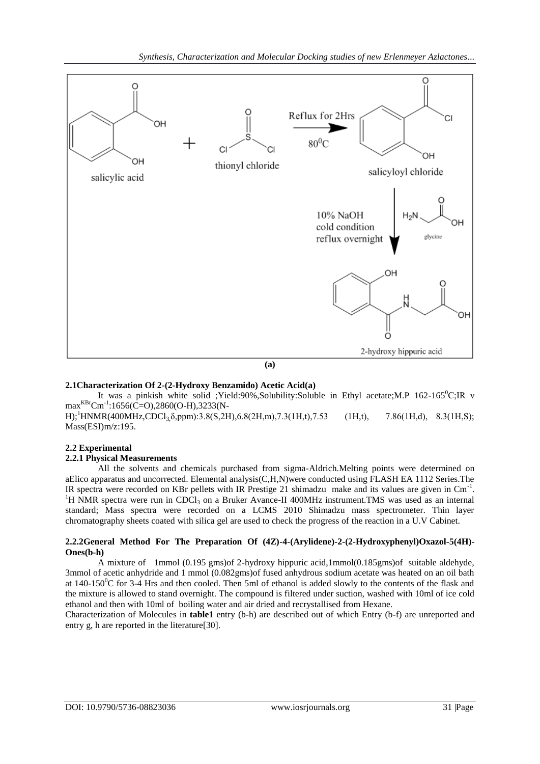

## **2.1Characterization Of 2-(2-Hydroxy Benzamido) Acetic Acid(a)**

It was a pinkish white solid ;Yield:90%,Solubility:Soluble in Ethyl acetate;M.P 162-165<sup>o</sup>C;IR v max<sup>KBr</sup>Cm<sup>-1</sup>:1656(C=O),2860(O-H),3233(N-

H);<sup>1</sup>HNMR(400MHz,CDCl<sub>3</sub>,δ,ppm):3.8(S,2H),6.8(2H,m),7.3(1H,t),7.53 (1H,t), 7.86(1H,d), 8.3(1H,S); Mass(ESI)m/z:195.

# **2.2 Experimental**

## **2.2.1 Physical Measurements**

All the solvents and chemicals purchased from sigma-Aldrich.Melting points were determined on aElico apparatus and uncorrected. Elemental analysis(C,H,N)were conducted using FLASH EA 1112 Series.The IR spectra were recorded on KBr pellets with IR Prestige 21 shimadzu make and its values are given in Cm<sup>-1</sup>. <sup>1</sup>H NMR spectra were run in CDCl<sub>3</sub> on a Bruker Avance-II 400MHz instrument.TMS was used as an internal standard; Mass spectra were recorded on a LCMS 2010 Shimadzu mass spectrometer. Thin layer chromatography sheets coated with silica gel are used to check the progress of the reaction in a U.V Cabinet.

## **2.2.2General Method For The Preparation Of (4Z)-4-(Arylidene)-2-(2-Hydroxyphenyl)Oxazol-5(4H)- Ones(b-h)**

A mixture of 1mmol (0.195 gms)of 2-hydroxy hippuric acid,1mmol(0.185gms)of suitable aldehyde, 3mmol of acetic anhydride and 1 mmol (0.082gms)of fused anhydrous sodium acetate was heated on an oil bath at 140-150 $^{\circ}$ C for 3-4 Hrs and then cooled. Then 5ml of ethanol is added slowly to the contents of the flask and the mixture is allowed to stand overnight. The compound is filtered under suction, washed with 10ml of ice cold ethanol and then with 10ml of boiling water and air dried and recrystallised from Hexane.

Characterization of Molecules in **table1** entry (b-h) are described out of which Entry (b-f) are unreported and entry g, h are reported in the literature[30].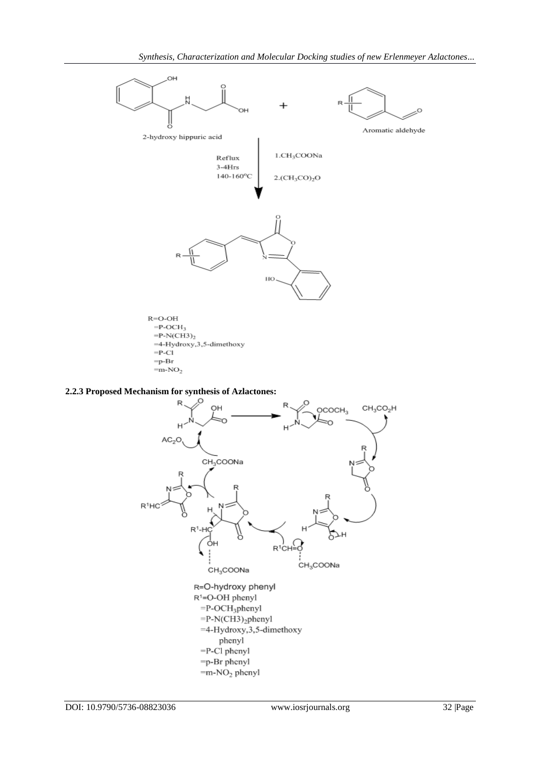

 $=p-Br$  $=$ m-NO<sub>2</sub>

# **2.2.3 Proposed Mechanism for synthesis of Azlactones:**

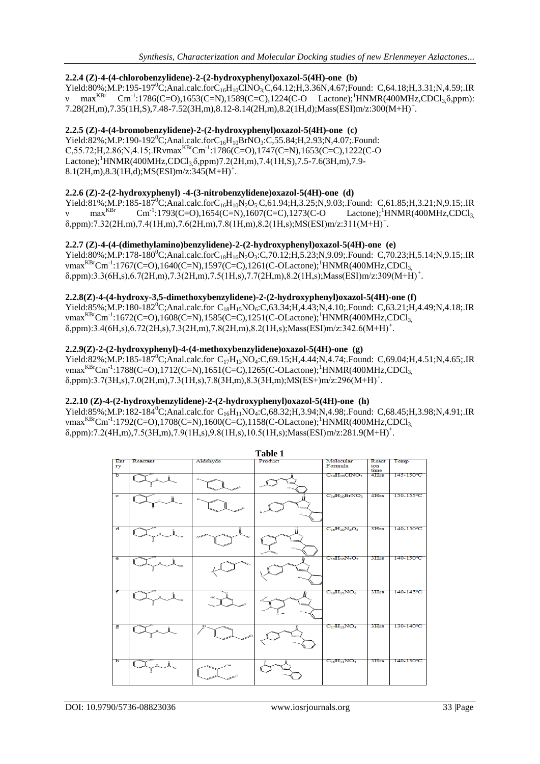## **2.2.4 (Z)-4-(4-chlorobenzylidene)-2-(2-hydroxyphenyl)oxazol-5(4H)-one (b)**

 $Yield:80\%; M.P:195-197^0C; Anal. calc. for C_{16}H_{10}CINO_3C,64.12; H,3.36N,4.67; Found: C,64.18; H,3.31; N,4.59; IR$ v max<sup>KBr</sup> Cm<sup>-1</sup>:1786(C=O),1653(C=N),1589(C=C),1224(C-O Lactone);<sup>1</sup>HNMR(400MHz,CDCl<sub>3,</sub> $\delta$ ,ppm): 7.28(2H,m),7.35(1H,S),7.48-7.52(3H,m),8.12-8.14(2H,m),8.2(1H,d);Mass(ESI)m/z:300(M+H)<sup>+</sup> .

## **2.2.5 (Z)-4-(4-bromobenzylidene)-2-(2-hydroxyphenyl)oxazol-5(4H)-one (c)**

 $Yield:82\%; M.P:190-192^0C; Anal. calc.forC_{16}H_{10}BrNO_3:C,55.84; H,2.93; N,4.07; Found:$  $C$ ,55.72;H,2.86;N,4.15;.IRvmax<sup>KBr</sup>Cm<sup>-1</sup>:1786(C=O),1747(C=N),1653(C=C),1222(C-O Lactone);<sup>1</sup>HNMR(400MHz,CDCl<sub>3</sub>,δ,ppm)7.2(2H,m),7.4(1H,S),7.5-7.6(3H,m),7.9- $8.1(2H,m)$ , $8.3(1H,d)$ ; $MS(ESI)m/z$ : $345(M+H)^+$ .

## **2.2.6 (Z)-2-(2-hydroxyphenyl) -4-(3-nitrobenzylidene)oxazol-5(4H)-one (d)**

Yield:81%;M.P:185-187<sup>0</sup>C;Anal.calc.forC<sub>16</sub>H<sub>10</sub>N<sub>2</sub>O<sub>5</sub>:C,61.94;H,3.25;N,9.03;.Found: C,61.85;H,3.21;N,9.15;.IR<br>v max<sup>KBr</sup> Cm<sup>-1</sup>:1793(C=O),1654(C=N),1607(C=C),1273(C-O Lactone);<sup>1</sup>HNMR(400MHz,CDCl<sub>3</sub>  $max<sup>KBr</sup>$  $\text{Cm}^{-1}:1793(\text{C}=O),1654(\text{C}=N),1607(\text{C}=C),1273(\text{C}-O)$  $\delta$ ,ppm):7.32(2H,m),7.4(1H,m),7.6(2H,m),7.8(1H,m),8.2(1H,s);MS(ESI)m/z:311(M+H)<sup>+</sup>.

## **2.2.7 (Z)-4-(4-(dimethylamino)benzylidene)-2-(2-hydroxyphenyl)oxazol-5(4H)-one (e)**

 $Yield:80\%$ :M.P:178-180<sup>0</sup>C;Anal.calc.forC<sub>18</sub>H<sub>16</sub>N<sub>2</sub>O<sub>3</sub>:C,70.12;H,5.23;N,9.09;.Found: C,70.23;H,5.14;N,9.15;.IR vmax<sup>KBr</sup>Cm<sup>-1</sup>:1767(C=O),1640(C=N),1597(C=C),1261(C-OLactone);<sup>1</sup>HNMR(400MHz,CDCl<sub>3,</sub> δ,ppm):3.3(6H,s),6.7(2H,m),7.3(2H,m),7.5(1H,s),7.7(2H,m),8.2(1H,s);Mass(ESI)m/z:309(M+H)<sup>+</sup> .

# **2.2.8(Z)-4-(4-hydroxy-3,5-dimethoxybenzylidene)-2-(2-hydroxyphenyl)oxazol-5(4H)-one (f)**

Yield:85%;M.P:180-182<sup>0</sup>C;Anal.calc.for C<sub>18</sub>H<sub>15</sub>NO<sub>6</sub>:C,63.34;H,4.43;N,4.10;.Found: C,63.21;H,4.49;N,4.18;.IR vmax<sup>KBr</sup>Cm<sup>-1</sup>:1672(C=O),1608(C=N),1585(C=C),1251(C-OLactone);<sup>1</sup>HNMR(400MHz,CDCl<sub>3,</sub>  $\delta$ ,ppm):3.4(6H,s),6.72(2H,s),7.3(2H,m),7.8(2H,m),8.2(1H,s);Mass(ESI)m/z:342.6(M+H)<sup>+</sup>.

## **2.2.9(Z)-2-(2-hydroxyphenyl)-4-(4-methoxybenzylidene)oxazol-5(4H)-one (g)**

 $Yield:82\%; M.P:185-187^0C; Anal. calc. for C<sub>17</sub>H<sub>13</sub>NO<sub>4</sub>:C<sub>3</sub>69.15; H<sub>4</sub>.44; N<sub>4</sub>.74; Found: C<sub>5</sub>69.04; H<sub>4</sub>.451; N<sub>4</sub>.465; IR$ vmax<sup>KBr</sup>Cm<sup>-1</sup>:1788(C=O),1712(C=N),1651(C=C),1265(C-OLactone);<sup>1</sup>HNMR(400MHz,CDCl<sub>3,</sub>  $\delta$ ,ppm):3.7(3H,s),7.0(2H,m),7.3(1H,s),7.8(3H,m),8.3(3H,m);MS(ES+)m/z:296(M+H)<sup>+</sup>.

## **2.2.10 (Z)-4-(2-hydroxybenzylidene)-2-(2-hydroxyphenyl)oxazol-5(4H)-one (h)**

Yield:85%;M.P:182-184<sup>0</sup>C;Anal.calc.for C<sub>16</sub>H<sub>11</sub>NO<sub>4</sub>:C,68.32;H,3.94;N,4.98;.Found: C,68.45;H,3.98;N,4.91;.IR vmax<sup>KBr</sup>Cm<sup>-1</sup>:1792(C=O),1708(C=N),1600(C=C),1158(C-OLactone);<sup>1</sup>HNMR(400MHz,CDCl<sub>3,</sub> δ,ppm):7.2(4H,m),7.5(3H,m),7.9(1H,s),9.8(1H,s),10.5(1H,s);Mass(ESI)m/z:281.9(M+H)<sup>+</sup> .

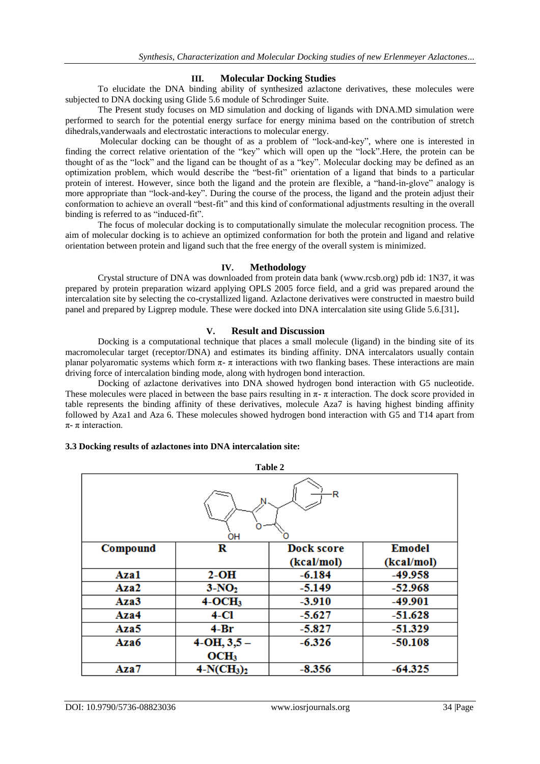## **III. Molecular Docking Studies**

To elucidate the DNA binding ability of synthesized azlactone derivatives, these molecules were subjected to DNA docking using Glide 5.6 module of Schrodinger Suite.

The Present study focuses on MD simulation and docking of ligands with DNA.MD simulation were performed to search for the potential energy surface for energy minima based on the contribution of stretch dihedrals,vanderwaals and electrostatic interactions to molecular energy.

Molecular docking can be thought of as a problem of "lock-and-key", where one is interested in finding the correct relative orientation of the "key" which will open up the "lock".Here, the protein can be thought of as the "lock" and the ligand can be thought of as a "key". Molecular docking may be defined as an optimization problem, which would describe the "best-fit" orientation of a ligand that binds to a particular protein of interest. However, since both the ligand and the protein are flexible, a "hand-in-glove" analogy is more appropriate than "lock-and-key". During the course of the process, the ligand and the protein adjust their conformation to achieve an overall "best-fit" and this kind of conformational adjustments resulting in the overall binding is referred to as "induced-fit".

The focus of molecular docking is to computationally simulate the molecular recognition process. The aim of molecular docking is to achieve an optimized conformation for both the protein and ligand and relative orientation between protein and ligand such that the free energy of the overall system is minimized.

## **IV. Methodology**

Crystal structure of DNA was downloaded from protein data bank [\(www.rcsb.org\)](http://www.rcsb.org/) pdb id: 1N37, it was prepared by protein preparation wizard applying OPLS 2005 force field, and a grid was prepared around the intercalation site by selecting the co-crystallized ligand. Azlactone derivatives were constructed in maestro build panel and prepared by Ligprep module. These were docked into DNA intercalation site using Glide 5.6.[31]**.**

## **V. Result and Discussion**

Docking is a computational technique that places a small molecule (ligand) in the binding site of its macromolecular target (receptor/DNA) and estimates its binding affinity. DNA intercalators usually contain planar polyaromatic systems which form  $\pi$ -  $\pi$  interactions with two flanking bases. These interactions are main driving force of intercalation binding mode, along with hydrogen bond interaction.

Docking of azlactone derivatives into DNA showed hydrogen bond interaction with G5 nucleotide. These molecules were placed in between the base pairs resulting in  $\pi$ -  $\pi$  interaction. The dock score provided in table represents the binding affinity of these derivatives, molecule Aza7 is having highest binding affinity followed by Aza1 and Aza 6. These molecules showed hydrogen bond interaction with G5 and T14 apart from π- π interaction.

## **3.3 Docking results of azlactones into DNA intercalation site:**

| Table 2  |                  |            |               |
|----------|------------------|------------|---------------|
| R<br>OН  |                  |            |               |
| Compound | R                | Dock score | <b>Emodel</b> |
|          |                  | (kcal/mol) | (kcal/mol)    |
| Aza1     | $2-OH$           | $-6.184$   | -49.958       |
| Aza2     | $3-NO2$          | $-5.149$   | $-52.968$     |
| Aza3     | $4-OCH3$         | $-3.910$   | $-49.901$     |
| Aza4     | 4-Cl             | $-5.627$   | $-51.628$     |
| Aza5     | $4-Br$           | $-5.827$   | $-51.329$     |
| Aza6     | $4-OH, 3, 5-$    | $-6.326$   | $-50.108$     |
|          | OCH <sub>3</sub> |            |               |
| Aza7     | $4-N(CH_3)_2$    | $-8.356$   | $-64.325$     |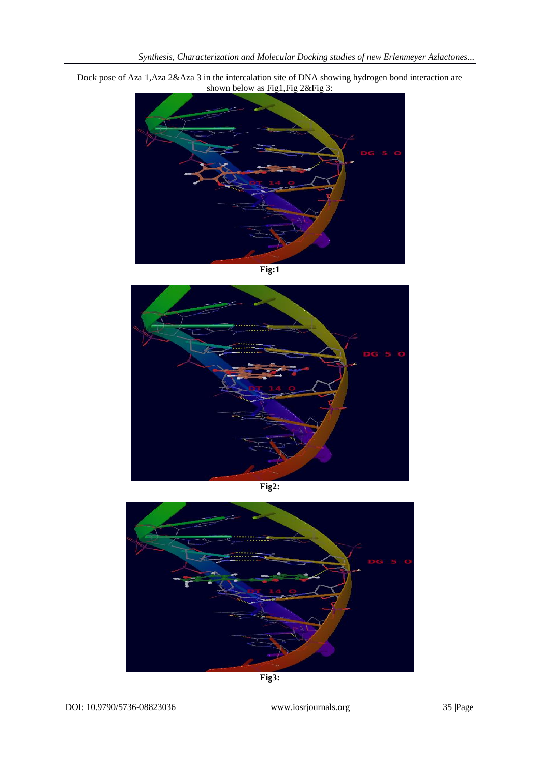

Dock pose of Aza 1,Aza 2&Aza 3 in the intercalation site of DNA showing hydrogen bond interaction are shown below as Fig1,Fig 2&Fig 3:

**Fig:1**



**Fig2:**